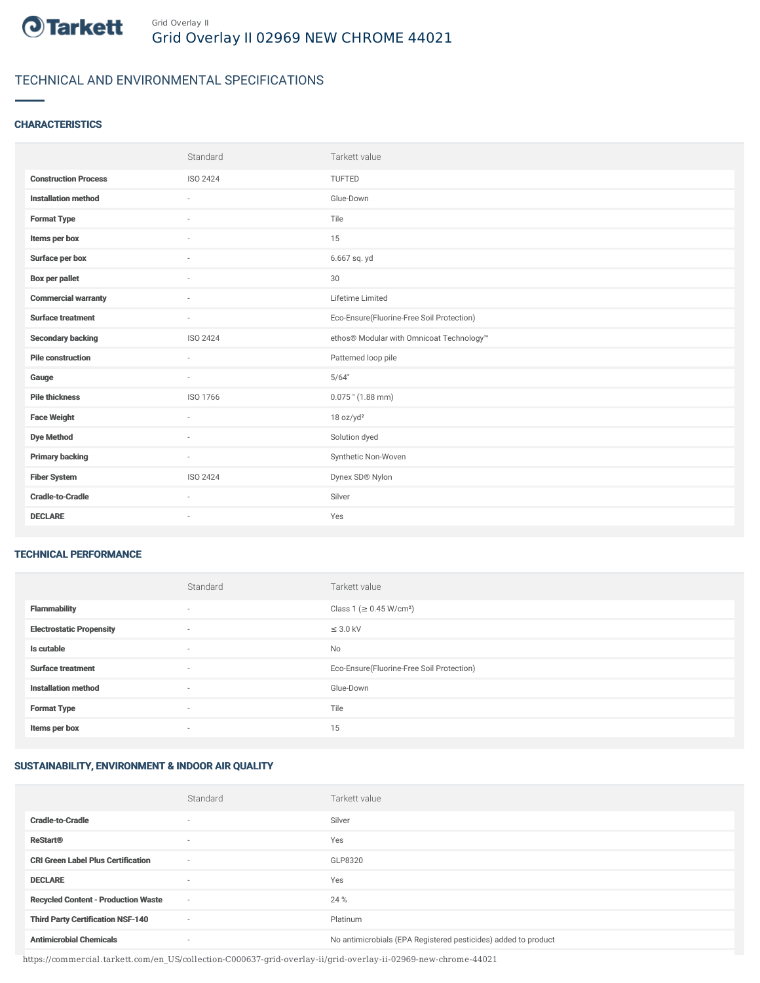

# TECHNICAL AND ENVIRONMENTAL SPECIFICATIONS

### **CHARACTERISTICS**

|                             | Standard        | Tarkett value                             |
|-----------------------------|-----------------|-------------------------------------------|
| <b>Construction Process</b> | <b>ISO 2424</b> | <b>TUFTED</b>                             |
| <b>Installation method</b>  | $\bar{a}$       | Glue-Down                                 |
| <b>Format Type</b>          | $\sim$          | Tile                                      |
| Items per box               | ٠               | 15                                        |
| Surface per box             | $\sim$          | 6.667 sq. yd                              |
| <b>Box per pallet</b>       | ٠               | 30                                        |
| <b>Commercial warranty</b>  | $\sim$          | Lifetime Limited                          |
| <b>Surface treatment</b>    | $\sim$          | Eco-Ensure(Fluorine-Free Soil Protection) |
| <b>Secondary backing</b>    | ISO 2424        | ethos® Modular with Omnicoat Technology™  |
| <b>Pile construction</b>    | ۰               | Patterned loop pile                       |
| Gauge                       | $\sim$          | 5/64"                                     |
| <b>Pile thickness</b>       | ISO 1766        | $0.075$ " (1.88 mm)                       |
| <b>Face Weight</b>          | $\sim$          | 18 oz/yd <sup>2</sup>                     |
| <b>Dye Method</b>           | $\sim$          | Solution dyed                             |
| <b>Primary backing</b>      | $\sim$          | Synthetic Non-Woven                       |
| <b>Fiber System</b>         | <b>ISO 2424</b> | Dynex SD® Nylon                           |
| <b>Cradle-to-Cradle</b>     | ÷               | Silver                                    |
| <b>DECLARE</b>              | $\sim$          | Yes                                       |

#### TECHNICAL PERFORMANCE

|                                 | Standard | Tarkett value                             |
|---------------------------------|----------|-------------------------------------------|
| <b>Flammability</b>             | $\sim$   | Class 1 (≥ 0.45 W/cm <sup>2</sup> )       |
| <b>Electrostatic Propensity</b> | $\sim$   | $\leq$ 3.0 kV                             |
| Is cutable                      | $\sim$   | <b>No</b>                                 |
| <b>Surface treatment</b>        | $\sim$   | Eco-Ensure(Fluorine-Free Soil Protection) |
| <b>Installation method</b>      | $\sim$   | Glue-Down                                 |
| <b>Format Type</b>              | $\sim$   | Tile                                      |
| Items per box                   | $\sim$   | 15                                        |

### SUSTAINABILITY, ENVIRONMENT & INDOOR AIR QUALITY

|                                            | Standard                 | Tarkett value                                                  |
|--------------------------------------------|--------------------------|----------------------------------------------------------------|
| <b>Cradle-to-Cradle</b>                    | ۰                        | Silver                                                         |
| <b>ReStart®</b>                            | $\overline{\phantom{a}}$ | Yes                                                            |
| <b>CRI Green Label Plus Certification</b>  | $\overline{\phantom{a}}$ | GLP8320                                                        |
| <b>DECLARE</b>                             | $\overline{\phantom{a}}$ | Yes                                                            |
| <b>Recycled Content - Production Waste</b> | $\sim$                   | 24 %                                                           |
| <b>Third Party Certification NSF-140</b>   | $\overline{\phantom{a}}$ | Platinum                                                       |
| <b>Antimicrobial Chemicals</b>             | ۰                        | No antimicrobials (EPA Registered pesticides) added to product |

https://commercial.tarkett.com/en\_US/collection-C000637-grid-overlay-ii/grid-overlay-ii-02969-new-chrome-44021